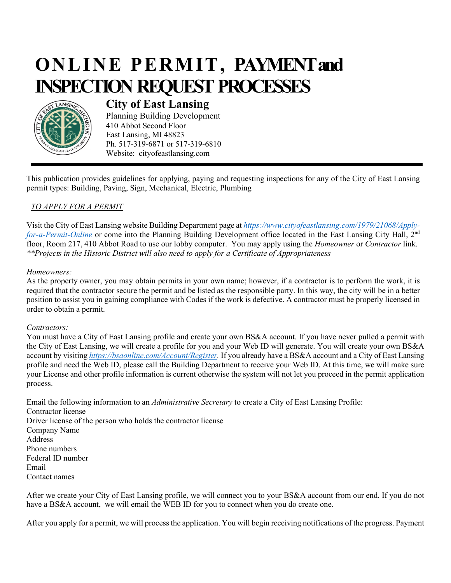# **ONLINE PERMIT, PAYMENT and INSPECTION REQUEST PROCESSES**



## **City of East Lansing**

Planning Building Development 410 Abbot Second Floor East Lansing, MI 48823 Ph. 517-319-6871 or 517-319-6810 Website: cityofeastlansing.com

This publication provides guidelines for applying, paying and requesting inspections for any of the City of East Lansing permit types: Building, Paving, Sign, Mechanical, Electric, Plumbing

### *TO APPLY FOR A PERMIT*

Visit the City of East Lansing website Building Department page at *[https://www.cityofeastlansing.com/1979/21068/Apply](https://www.cityofeastlansing.com/1979/21068/Apply-for-a-Permit-Online)[for-a-Permit-Online](https://www.cityofeastlansing.com/1979/21068/Apply-for-a-Permit-Online)* or come into the Planning Building Development office located in the East Lansing City Hall, 2<sup>nd</sup> floor, Room 217, 410 Abbot Road to use our lobby computer. You may apply using the *Homeowner* or *Contractor* link. *\*\*Projects in the Historic District will also need to apply for a Certificate of Appropriateness* 

#### *Homeowners:*

As the property owner, you may obtain permits in your own name; however, if a contractor is to perform the work, it is required that the contractor secure the permit and be listed as the responsible party. In this way, the city will be in a better position to assist you in gaining compliance with Codes if the work is defective. A contractor must be properly licensed in order to obtain a permit.

#### *Contractors:*

You must have a City of East Lansing profile and create your own BS&A account. If you have never pulled a permit with the City of East Lansing, we will create a profile for you and your Web ID will generate. You will create your own BS&A account by visiting *[https://bsaonline.com/Account/Register.](https://bsaonline.com/Account/Register)* If you already have a BS&A account and a City of East Lansing profile and need the Web ID, please call the Building Department to receive your Web ID. At this time, we will make sure your License and other profile information is current otherwise the system will not let you proceed in the permit application process.

Email the following information to an *Administrative Secretary* to create a City of East Lansing Profile: Contractor license Driver license of the person who holds the contractor license Company Name Address Phone numbers Federal ID number Email Contact names

After we create your City of East Lansing profile, we will connect you to your BS&A account from our end. If you do not have a BS&A account, we will email the WEB ID for you to connect when you do create one.

After you apply for a permit, we will process the application. You will begin receiving notifications of the progress. Payment